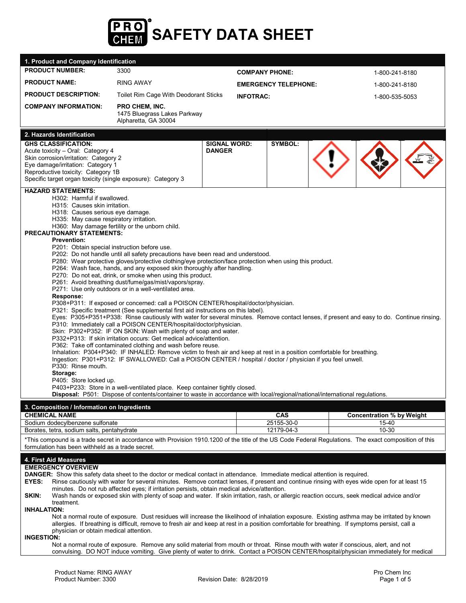

| 1. Product and Company Identification                                                                                                                                                                                                                                                                                                                                                                                                                                                                                                                                                                                                                                                                                                                                                                                                                                                                                                                                                                                                                                                                                                                                                                                                                                                                                                                                                                                                                                                                                                                                                                                                                                                                                                                                                                                                                                                                           |                                                                        |                                      |                             |  |                                           |                |  |  |
|-----------------------------------------------------------------------------------------------------------------------------------------------------------------------------------------------------------------------------------------------------------------------------------------------------------------------------------------------------------------------------------------------------------------------------------------------------------------------------------------------------------------------------------------------------------------------------------------------------------------------------------------------------------------------------------------------------------------------------------------------------------------------------------------------------------------------------------------------------------------------------------------------------------------------------------------------------------------------------------------------------------------------------------------------------------------------------------------------------------------------------------------------------------------------------------------------------------------------------------------------------------------------------------------------------------------------------------------------------------------------------------------------------------------------------------------------------------------------------------------------------------------------------------------------------------------------------------------------------------------------------------------------------------------------------------------------------------------------------------------------------------------------------------------------------------------------------------------------------------------------------------------------------------------|------------------------------------------------------------------------|--------------------------------------|-----------------------------|--|-------------------------------------------|----------------|--|--|
| <b>PRODUCT NUMBER:</b>                                                                                                                                                                                                                                                                                                                                                                                                                                                                                                                                                                                                                                                                                                                                                                                                                                                                                                                                                                                                                                                                                                                                                                                                                                                                                                                                                                                                                                                                                                                                                                                                                                                                                                                                                                                                                                                                                          | 3300                                                                   | <b>COMPANY PHONE:</b>                |                             |  | 1-800-241-8180                            |                |  |  |
| <b>PRODUCT NAME:</b>                                                                                                                                                                                                                                                                                                                                                                                                                                                                                                                                                                                                                                                                                                                                                                                                                                                                                                                                                                                                                                                                                                                                                                                                                                                                                                                                                                                                                                                                                                                                                                                                                                                                                                                                                                                                                                                                                            | <b>RING AWAY</b>                                                       |                                      | <b>EMERGENCY TELEPHONE:</b> |  |                                           | 1-800-241-8180 |  |  |
| <b>PRODUCT DESCRIPTION:</b>                                                                                                                                                                                                                                                                                                                                                                                                                                                                                                                                                                                                                                                                                                                                                                                                                                                                                                                                                                                                                                                                                                                                                                                                                                                                                                                                                                                                                                                                                                                                                                                                                                                                                                                                                                                                                                                                                     | Toilet Rim Cage With Deodorant Sticks<br><b>INFOTRAC:</b>              |                                      |                             |  | 1-800-535-5053                            |                |  |  |
| <b>COMPANY INFORMATION:</b>                                                                                                                                                                                                                                                                                                                                                                                                                                                                                                                                                                                                                                                                                                                                                                                                                                                                                                                                                                                                                                                                                                                                                                                                                                                                                                                                                                                                                                                                                                                                                                                                                                                                                                                                                                                                                                                                                     | PRO CHEM, INC.<br>1475 Bluegrass Lakes Parkway<br>Alpharetta, GA 30004 |                                      |                             |  |                                           |                |  |  |
| 2. Hazards Identification                                                                                                                                                                                                                                                                                                                                                                                                                                                                                                                                                                                                                                                                                                                                                                                                                                                                                                                                                                                                                                                                                                                                                                                                                                                                                                                                                                                                                                                                                                                                                                                                                                                                                                                                                                                                                                                                                       |                                                                        |                                      |                             |  |                                           |                |  |  |
| <b>GHS CLASSIFICATION:</b><br>Acute toxicity - Oral: Category 4<br>Skin corrosion/irritation: Category 2<br>Eye damage/irritation: Category 1<br>Reproductive toxicity: Category 1B<br>Specific target organ toxicity (single exposure): Category 3<br><b>HAZARD STATEMENTS:</b>                                                                                                                                                                                                                                                                                                                                                                                                                                                                                                                                                                                                                                                                                                                                                                                                                                                                                                                                                                                                                                                                                                                                                                                                                                                                                                                                                                                                                                                                                                                                                                                                                                |                                                                        | <b>SIGNAL WORD:</b><br><b>DANGER</b> | SYMBOL:                     |  |                                           |                |  |  |
| H302: Harmful if swallowed.<br>H315: Causes skin irritation.<br>H318: Causes serious eye damage.<br>H335: May cause respiratory irritation.<br>H360: May damage fertility or the unborn child.<br><b>PRECAUTIONARY STATEMENTS:</b><br><b>Prevention:</b><br>P201: Obtain special instruction before use.<br>P202: Do not handle until all safety precautions have been read and understood.<br>P280: Wear protective gloves/protective clothing/eye protection/face protection when using this product.<br>P264: Wash face, hands, and any exposed skin thoroughly after handling.<br>P270: Do not eat, drink, or smoke when using this product.<br>P261: Avoid breathing dust/fume/gas/mist/vapors/spray.<br>P271: Use only outdoors or in a well-ventilated area.<br>Response:<br>P308+P311: If exposed or concerned: call a POISON CENTER/hospital/doctor/physician.<br>P321: Specific treatment (See supplemental first aid instructions on this label).<br>Eyes: P305+P351+P338: Rinse cautiously with water for several minutes. Remove contact lenses, if present and easy to do. Continue rinsing.<br>P310: Immediately call a POISON CENTER/hospital/doctor/physician.<br>Skin: P302+P352: IF ON SKIN: Wash with plenty of soap and water.<br>P332+P313: If skin irritation occurs: Get medical advice/attention.<br>P362: Take off contaminated clothing and wash before reuse.<br>Inhalation: P304+P340: IF INHALED: Remove victim to fresh air and keep at rest in a position comfortable for breathing.<br>Ingestion: P301+P312: IF SWALLOWED: Call a POISON CENTER / hospital / doctor / physician if you feel unwell.<br>P330: Rinse mouth.<br>Storage:<br>P405: Store locked up.<br>P403+P233: Store in a well-ventilated place. Keep container tightly closed.<br>Disposal: P501: Dispose of contents/container to waste in accordance with local/regional/national/international regulations. |                                                                        |                                      |                             |  |                                           |                |  |  |
| 3. Composition / Information on Ingredients                                                                                                                                                                                                                                                                                                                                                                                                                                                                                                                                                                                                                                                                                                                                                                                                                                                                                                                                                                                                                                                                                                                                                                                                                                                                                                                                                                                                                                                                                                                                                                                                                                                                                                                                                                                                                                                                     |                                                                        |                                      |                             |  |                                           |                |  |  |
| <b>CHEMICAL NAME</b><br>Sodium dodecylbenzene sulfonate                                                                                                                                                                                                                                                                                                                                                                                                                                                                                                                                                                                                                                                                                                                                                                                                                                                                                                                                                                                                                                                                                                                                                                                                                                                                                                                                                                                                                                                                                                                                                                                                                                                                                                                                                                                                                                                         |                                                                        |                                      | <b>CAS</b><br>25155-30-0    |  | <b>Concentration % by Weight</b><br>15-40 |                |  |  |
| Borates, tetra, sodium salts, pentahydrate                                                                                                                                                                                                                                                                                                                                                                                                                                                                                                                                                                                                                                                                                                                                                                                                                                                                                                                                                                                                                                                                                                                                                                                                                                                                                                                                                                                                                                                                                                                                                                                                                                                                                                                                                                                                                                                                      |                                                                        |                                      | 12179-04-3                  |  | 10-30                                     |                |  |  |
| *This compound is a trade secret in accordance with Provision 1910.1200 of the title of the US Code Federal Regulations. The exact composition of this<br>formulation has been withheld as a trade secret.                                                                                                                                                                                                                                                                                                                                                                                                                                                                                                                                                                                                                                                                                                                                                                                                                                                                                                                                                                                                                                                                                                                                                                                                                                                                                                                                                                                                                                                                                                                                                                                                                                                                                                      |                                                                        |                                      |                             |  |                                           |                |  |  |
| 4. First Aid Measures<br><b>EMERGENCY OVERVIEW</b><br><b>DANGER:</b> Show this safety data sheet to the doctor or medical contact in attendance. Immediate medical attention is required.<br>Rinse cautiously with water for several minutes. Remove contact lenses, if present and continue rinsing with eyes wide open for at least 15<br>EYES:<br>minutes. Do not rub affected eyes; if irritation persists, obtain medical advice/attention.<br>SKIN:<br>Wash hands or exposed skin with plenty of soap and water. If skin irritation, rash, or allergic reaction occurs, seek medical advice and/or<br>treatment.<br><b>INHALATION:</b><br>Not a normal route of exposure. Dust residues will increase the likelihood of inhalation exposure. Existing asthma may be irritated by known<br>allergies. If breathing is difficult, remove to fresh air and keep at rest in a position comfortable for breathing. If symptoms persist, call a<br>physician or obtain medical attention.<br><b>INGESTION:</b><br>Not a normal route of exposure. Remove any solid material from mouth or throat. Rinse mouth with water if conscious, alert, and not<br>convulsing. DO NOT induce vomiting. Give plenty of water to drink. Contact a POISON CENTER/hospital/physician immediately for medical                                                                                                                                                                                                                                                                                                                                                                                                                                                                                                                                                                                                                  |                                                                        |                                      |                             |  |                                           |                |  |  |
| Product Name: RING AWAY<br>Product Number: 3300                                                                                                                                                                                                                                                                                                                                                                                                                                                                                                                                                                                                                                                                                                                                                                                                                                                                                                                                                                                                                                                                                                                                                                                                                                                                                                                                                                                                                                                                                                                                                                                                                                                                                                                                                                                                                                                                 |                                                                        | Revision Date: 8/28/2019             |                             |  | Pro Chem Inc<br>Page 1 of 5               |                |  |  |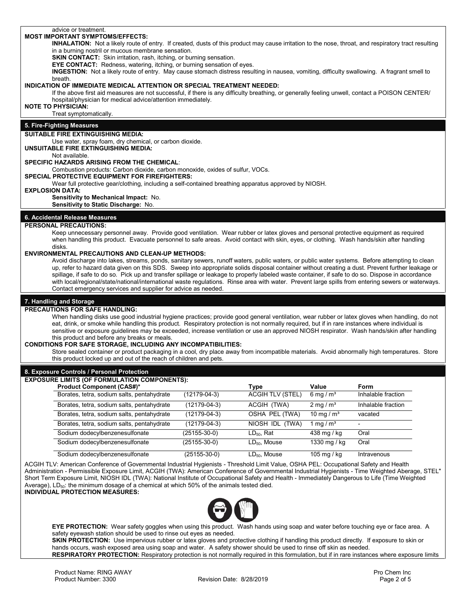#### advice or treatment. **MOST IMPORTANT SYMPTOMS/EFFECTS:**

## **INHALATION:** Not a likely route of entry. If created, dusts of this product may cause irritation to the nose, throat, and respiratory tract resulting in a burning nostril or mucous membrane sensation.

**SKIN CONTACT:** Skin irritation, rash, itching, or burning sensation.

**EYE CONTACT:** Redness, watering, itching, or burning sensation of eyes.

**INGESTION:** Not a likely route of entry. May cause stomach distress resulting in nausea, vomiting, difficulty swallowing. A fragrant smell to breath.

#### **INDICATION OF IMMEDIATE MEDICAL ATTENTION OR SPECIAL TREATMENT NEEDED:**

If the above first aid measures are not successful, if there is any difficulty breathing, or generally feeling unwell, contact a POISON CENTER/ hospital/physician for medical advice/attention immediately.

## **NOTE TO PHYSICIAN:**

Treat symptomatically.

## **5. Fire-Fighting Measures**

#### **SUITABLE FIRE EXTINGUISHING MEDIA:**

Use water, spray foam, dry chemical, or carbon dioxide.

**UNSUITABLE FIRE EXTINGUISHING MEDIA:** 

## Not available.

**SPECIFIC HAZARDS ARISING FROM THE CHEMICAL**:

Combustion products: Carbon dioxide, carbon monoxide, oxides of sulfur, VOCs.

#### **SPECIAL PROTECTIVE EQUIPMENT FOR FIREFIGHTERS:**

Wear full protective gear/clothing, including a self-contained breathing apparatus approved by NIOSH.

#### **EXPLOSION DATA:**

**Sensitivity to Mechanical Impact:** No.

**Sensitivity to Static Discharge:** No.

#### **6. Accidental Release Measures**

#### **PERSONAL PRECAUTIONS:**

Keep unnecessary personnel away. Provide good ventilation. Wear rubber or latex gloves and personal protective equipment as required when handling this product. Evacuate personnel to safe areas. Avoid contact with skin, eyes, or clothing. Wash hands/skin after handling disks.

#### **ENVIRONMENTAL PRECAUTIONS AND CLEAN-UP METHODS:**

Avoid discharge into lakes, streams, ponds, sanitary sewers, runoff waters, public waters, or public water systems. Before attempting to clean up, refer to hazard data given on this SDS. Sweep into appropriate solids disposal container without creating a dust. Prevent further leakage or spillage, if safe to do so. Pick up and transfer spillage or leakage to properly labeled waste container, if safe to do so. Dispose in accordance with local/regional/state/national/international waste regulations. Rinse area with water. Prevent large spills from entering sewers or waterways. Contact emergency services and supplier for advice as needed.

## **7. Handling and Storage**

#### **PRECAUTIONS FOR SAFE HANDLING:**

When handling disks use good industrial hygiene practices; provide good general ventilation, wear rubber or latex gloves when handling, do not eat, drink, or smoke while handling this product. Respiratory protection is not normally required, but if in rare instances where individual is sensitive or exposure guidelines may be exceeded, increase ventilation or use an approved NIOSH respirator. Wash hands/skin after handling this product and before any breaks or meals.

#### **CONDITIONS FOR SAFE STORAGE, INCLUDING ANY INCOMPATIBILITIES:**

Store sealed container or product packaging in a cool, dry place away from incompatible materials. Avoid abnormally high temperatures. Store this product locked up and out of the reach of children and pets.

# **8. Exposure Controls / Personal Protection EXPOSURE LIMITS (OF FORMULATION COMPONENTS): Product Component (CAS#)\***<br> **Borates, tetra, sodium salts, pentahydrate** (12179-04-3) <br> **ACGIH TLV (STEL)** 6 mg / m<sup>3</sup> Inhalable fraction Borates, tetra, sodium salts, pentahydrate Borates, tetra, sodium salts, pentahydrate (12179-04-3) ACGIH (TWA) 2 mg / m<sup>3</sup> Inhalable fraction Borates, tetra, sodium salts, pentahydrate (12179-04-3) OSHA PEL (TWA) 10 mg / m<sup>3</sup> vacated Borates, tetra, sodium salts, pentahydrate (12179-04-3) NIOSH IDL (TWA) 1 mg / m<sup>3</sup> Sodium dodecylbenzenesulfonate (25155-30-0) LD<sub>50</sub>, Rat 438 mg / kg Oral Sodium dodecylbenzenesulfonate (25155-30-0) LD<sub>50</sub>, Mouse 1330 mg / kg Oral Sodium dodecylbenzenesulfonate (25155-30-0) LD<sub>50</sub>, Mouse 105 mg / kg Intravenous

ACGIH TLV: American Conference of Governmental Industrial Hygienists - Threshold Limit Value, OSHA PEL: Occupational Safety and Health Administration - Permissible Exposure Limit, ACGIH (TWA): American Conference of Governmental Industrial Hygienists - Time Weighted Aberage, STEL" Short Term Exposure Limit, NIOSH IDL (TWA): National Institute of Occupational Safety and Health - Immediately Dangerous to Life (Time Weighted Average),  $LD<sub>50</sub>$ : the minimum dosage of a chemical at which 50% of the animals tested died. **INDIVIDUAL PROTECTION MEASURES:**

**EYE PROTECTION:** Wear safety goggles when using this product. Wash hands using soap and water before touching eye or face area. A safety eyewash station should be used to rinse out eyes as needed.

**SKIN PROTECTION:** Use impervious rubber or latex gloves and protective clothing if handling this product directly. If exposure to skin or hands occurs, wash exposed area using soap and water. A safety shower should be used to rinse off skin as needed. **RESPIRATORY PROTECTION:** Respiratory protection is not normally required in this formulation, but if in rare instances where exposure limits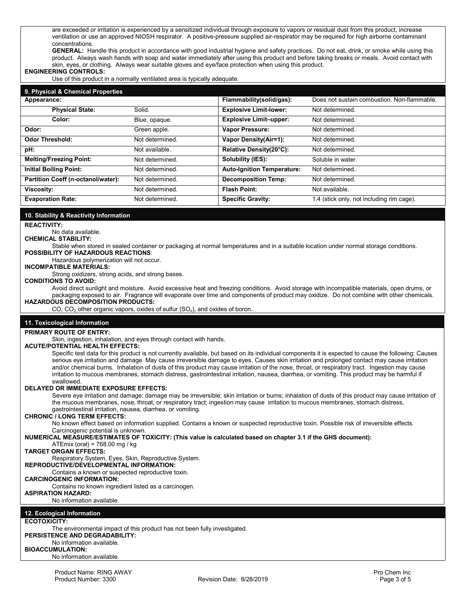are exceeded or irritation is experienced by a sensitized individual through exposure to vapors or residual dust from this product, increase ventilation or use an approved NIOSH respirator. A positive-pressure supplied air-respirator may be required for high airborne contaminant concentrations.

**GENERAL:** Handle this product in accordance with good industrial hygiene and safety practices. Do not eat, drink, or smoke while using this product. Always wash hands with soap and water immediately after using this product and before taking breaks or meals. Avoid contact with skin, eyes, or clothing. Always wear suitable gloves and eye/face protection when using this product.

## **ENGINEERING CONTROLS:**

Use of this product in a normally ventilated area is typically adequate.

| 9. Physical & Chemical Properties  |                 |                                   |                                             |
|------------------------------------|-----------------|-----------------------------------|---------------------------------------------|
| Appearance:                        |                 | Flammability(solid/gas):          | Does not sustain combustion. Non-flammable. |
| <b>Physical State:</b>             | Solid.          | <b>Explosive Limit-lower:</b>     | Not determined.                             |
| Color:                             | Blue, opaque.   | <b>Explosive Limit-upper:</b>     | Not determined.                             |
| Odor:                              | Green apple.    | <b>Vapor Pressure:</b>            | Not determined.                             |
| <b>Odor Threshold:</b>             | Not determined. | <b>Vapor Density(Air=1):</b>      | Not determined.                             |
| pH:                                | Not available.  | Relative Density(20°C):           | Not determined.                             |
| <b>Melting/Freezing Point:</b>     | Not determined. | Solubility (IES):                 | Soluble in water.                           |
| <b>Initial Boiling Point:</b>      | Not determined. | <b>Auto-Ignition Temperature:</b> | Not determined.                             |
| Partition Coeff (n-octanol/water): | Not determined. | <b>Decomposition Temp:</b>        | Not determined.                             |
| <b>Viscosity:</b>                  | Not determined. | <b>Flash Point:</b>               | Not available.                              |
| <b>Evaporation Rate:</b>           | Not determined. | <b>Specific Gravity:</b>          | 1.4 (stick only, not including rim cage).   |

#### **10. Stability & Reactivity Information**

**REACTIVITY:**

#### No data available.

**CHEMICAL STABILITY:** 

Stable when stored in sealed container or packaging at normal temperatures and in a suitable location under normal storage conditions. **POSSIBILITY OF HAZARDOUS REACTIONS**:

Hazardous polymerization will not occur.

## **INCOMPATIBLE MATERIALS:**

Strong oxidizers, strong acids, and strong bases.

## **CONDITIONS TO AVOID:**

Avoid direct sunlight and moisture. Avoid excessive heat and freezing conditions. Avoid storage with incompatible materials, open drums, or packaging exposed to air. Fragrance will evaporate over time and components of product may oxidize. Do not combine with other chemicals. **HAZARDOUS DECOMPOSITION PRODUCTS:**

CO,  $CO<sub>2</sub>$  other organic vapors, oxides of sulfur (SO<sub>x</sub>), and oxides of boron.

### **11. Toxicological Information**

## **PRIMARY ROUTE OF ENTRY:**

Skin, ingestion, inhalation, and eyes through contact with hands.

### **ACUTE/POTENTIAL HEALTH EFFECTS:**

Specific test data for this product is not currently available, but based on its individual components it is expected to cause the following: Causes serious eye irritation and damage. May cause irreversible damage to eyes. Causes skin irritation and prolonged contact may cause irritation and/or chemical burns. Inhalation of dusts of this product may cause irritation of the nose, throat, or respiratory tract. Ingestion may cause irritation to mucous membranes, stomach distress, gastrointestinal irritation, nausea, diarrhea, or vomiting. This product may be harmful if swallowed.

#### **DELAYED OR IMMEDIATE EXPOSURE EFFECTS:**

Severe eye irritation and damage; damage may be irreversible; skin irritation or burns; inhalation of dusts of this product may cause irritation of the mucous membranes, nose, throat, or respiratory tract; ingestion may cause irritation to mucous membranes, stomach distress, gastrointestinal irritation, nausea, diarrhea, or vomiting.

## **CHRONIC / LONG TERM EFFECTS:**

No known effect based on information supplied. Contains a known or suspected reproductive toxin. Possible risk of irreversible effects. Carcinogenic potential is unknown.

**NUMERICAL MEASURE/ESTIMATES OF TOXICITY: (This value is calculated based on chapter 3.1 if the GHS document):**

ATEmix (oral) = 768.00 mg / kg

## **TARGET ORGAN EFFECTS:**

Respiratory System, Eyes, Skin, Reproductive System.

**REPRODUCTIVE/DEVELOPMENTAL INFORMATION:** 

Contains a known or suspected reproductive toxin.

# **CARCINOGENIC INFORMATION:**

Contains no known ingredient listed as a carcinogen.

# **ASPIRATION HAZARD:**

No information available.

#### **12. Ecological Information**

#### **ECOTOXICITY:**

The environmental impact of this product has not been fully investigated.

## **PERSISTENCE AND DEGRADABILITY:**

### No information available.

**BIOACCUMULATION:**

No information available.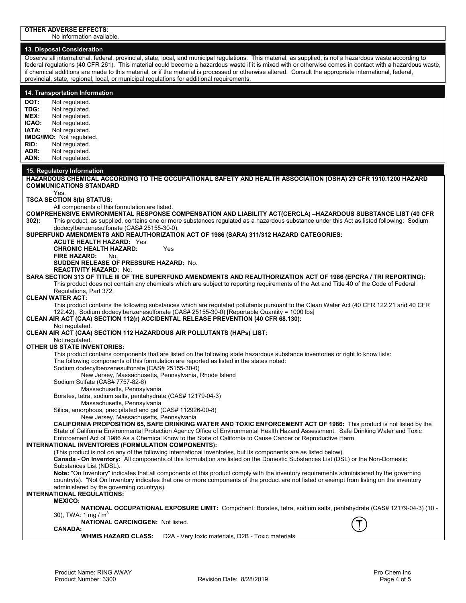No information available.

## **13. Disposal Consideration**

Observe all international, federal, provincial, state, local, and municipal regulations. This material, as supplied, is not a hazardous waste according to federal regulations (40 CFR 261). This material could become a hazardous waste if it is mixed with or otherwise comes in contact with a hazardous waste. if chemical additions are made to this material, or if the material is processed or otherwise altered. Consult the appropriate international, federal, provincial, state, regional, local, or municipal regulations for additional requirements.

## **14. Transportation Information**

**DOT:** Not regulated.<br>**TDG:** Not regulated. **TDG:** Not regulated.<br>**MEX:** Not regulated **MEX:** Not regulated.<br>**ICAO:** Not regulated. **ICAO:** Not regulated.<br>**IATA:** Not regulated. Not regulated. **IMDG/IMO:** Not regulated. **RID:** Not regulated.<br>**ADR:** Not regulated. ADR: Not regulated.<br>**ADN:** Not regulated. Not regulated.

## **15. Regulatory Information**

**HAZARDOUS CHEMICAL ACCORDING TO THE OCCUPATIONAL SAFETY AND HEALTH ASSOCIATION (OSHA) 29 CFR 1910.1200 HAZARD COMMUNICATIONS STANDARD**  Yes. **TSCA SECTION 8(b) STATUS:** All components of this formulation are listed. **COMPREHENSIVE ENVIRONMENTAL RESPONSE COMPENSATION AND LIABILITY ACT(CERCLA) –HAZARDOUS SUBSTANCE LIST (40 CFR 302):** This product, as supplied, contains one or more substances regulated as a hazardous substance under this Act as listed following: Sodium dodecylbenzenesulfonate (CAS# 25155-30-0). **SUPERFUND AMENDMENTS AND REAUTHORIZATION ACT OF 1986 (SARA) 311/312 HAZARD CATEGORIES: ACUTE HEALTH HAZARD:** Yes **CHRONIC HEALTH HAZARD:** Yes **FIRE HAZARD:** No. **SUDDEN RELEASE OF PRESSURE HAZARD:** No. **REACTIVITY HAZARD:** No. **SARA SECTION 313 OF TITLE III OF THE SUPERFUND AMENDMENTS AND REAUTHORIZATION ACT OF 1986 (EPCRA / TRI REPORTING):** This product does not contain any chemicals which are subject to reporting requirements of the Act and Title 40 of the Code of Federal Regulations, Part 372. **CLEAN WATER ACT:** This product contains the following substances which are regulated pollutants pursuant to the Clean Water Act (40 CFR 122.21 and 40 CFR 122.42). Sodium dodecylbenzenesulfonate (CAS# 25155-30-0) [Reportable Quantity = 1000 lbs] **CLEAN AIR ACT (CAA) SECTION 112(r) ACCIDENTAL RELEASE PREVENTION (40 CFR 68.130):** Not regulated. **CLEAN AIR ACT (CAA) SECTION 112 HAZARDOUS AIR POLLUTANTS (HAPs) LIST:** Not regulated. **OTHER US STATE INVENTORIES:** This product contains components that are listed on the following state hazardous substance inventories or right to know lists: The following components of this formulation are reported as listed in the states noted: Sodium dodecylbenzenesulfonate (CAS# 25155-30-0) New Jersey, Massachusetts, Pennsylvania, Rhode Island Sodium Sulfate (CAS# 7757-82-6) Massachusetts, Pennsylvania Borates, tetra, sodium salts, pentahydrate (CAS# 12179-04-3) Massachusetts, Pennsylvania Silica, amorphous, precipitated and gel (CAS# 112926-00-8) New Jersey, Massachusetts, Pennsylvania **CALIFORNIA PROPOSITION 65, SAFE DRINKING WATER AND TOXIC ENFORCEMENT ACT OF 1986:** This product is not listed by the State of California Environmental Protection Agency Office of Environmental Health Hazard Assessment. Safe Drinking Water and Toxic Enforcement Act of 1986 As a Chemical Know to the State of California to Cause Cancer or Reproductive Harm. **INTERNATIONAL INVENTORIES (FORMULATION COMPONENTS):** (This product is not on any of the following international inventories, but its components are as listed below). **Canada - On Inventory:** All components of this formulation are listed on the Domestic Substances List (DSL) or the Non-Domestic Substances List (NDSL). **Note:** "On Inventory" indicates that all components of this product comply with the inventory requirements administered by the governing country(s). "Not On Inventory indicates that one or more components of the product are not listed or exempt from listing on the inventory administered by the governing country(s). **INTERNATIONAL REGULATIONS: MEXICO: NATIONAL OCCUPATIONAL EXPOSURE LIMIT:** Component: Borates, tetra, sodium salts, pentahydrate (CAS# 12179-04-3) (10 - 30), TWA: 1 mg /  $m<sup>3</sup>$ **NATIONAL CARCINOGEN:** Not listed. **CANADA: WHMIS HAZARD CLASS:** D2A - Very toxic materials, D2B - Toxic materials